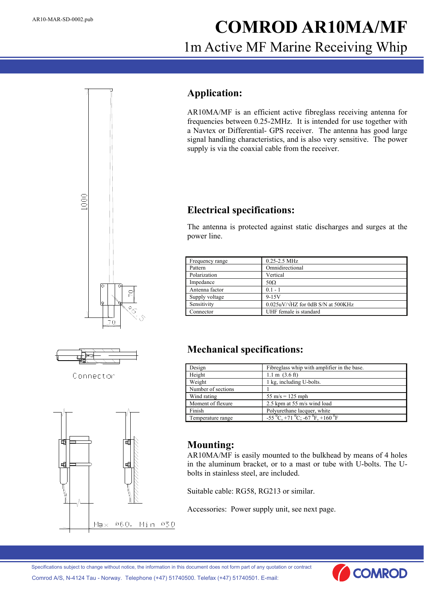# AR10-MAR-SD-0002.pub **COMROD AR10MA/MF** 1m Active MF Marine Receiving Whip

#### **Application:**

AR10MA/MF is an efficient active fibreglass receiving antenna for frequencies between 0.25-2MHz. It is intended for use together with a Navtex or Differential- GPS receiver. The antenna has good large signal handling characteristics, and is also very sensitive. The power supply is via the coaxial cable from the receiver.

### **Electrical specifications:**

The antenna is protected against static discharges and surges at the power line.

| Frequency range | $0.25 - 2.5$ MHz                          |  |  |
|-----------------|-------------------------------------------|--|--|
| Pattern         | Omnidirectional                           |  |  |
| Polarization    | Vertical                                  |  |  |
| Impedance       | $50\Omega$                                |  |  |
| Antenna factor  | $0.1 - 1$                                 |  |  |
| Supply voltage  | $9 - 15V$                                 |  |  |
| Sensitivity     | $0.025uV/\sqrt{HZ}$ for 0dB S/N at 500KHz |  |  |
| Connector       | UHF female is standard                    |  |  |

# **Mechanical specifications:**

| Design             | Fibreglass whip with amplifier in the base.     |
|--------------------|-------------------------------------------------|
| Height             | $1.1 \text{ m}$ $(3.6 \text{ ft})$              |
| Weight             | 1 kg, including U-bolts.                        |
| Number of sections |                                                 |
| Wind rating        | $55 \text{ m/s} = 125 \text{ mph}$              |
| Moment of flexure  | 2.5 kpm at 55 m/s wind load                     |
| Finish             | Polyurethane lacquer, white                     |
| Temperature range  | $-55\,^0C$ , +71 $^0C$ ; -67 $^0F$ , +160 $^0F$ |

# **Mounting:**

AR10MA/MF is easily mounted to the bulkhead by means of 4 holes in the aluminum bracket, or to a mast or tube with U-bolts. The Ubolts in stainless steel, are included.

Suitable cable: RG58, RG213 or similar.

Accessories: Power supply unit, see next page.





Connector